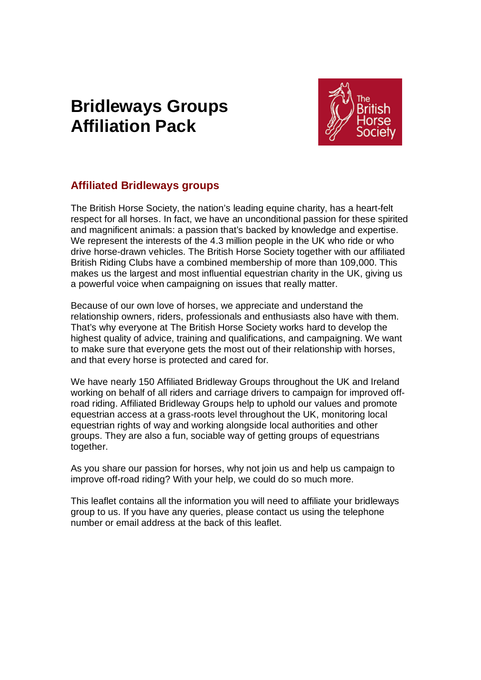# **Bridleways Groups Affiliation Pack**



# **Affiliated Bridleways groups**

The British Horse Society, the nation's leading equine charity, has a heart-felt respect for all horses. In fact, we have an unconditional passion for these spirited and magnificent animals: a passion that's backed by knowledge and expertise. We represent the interests of the 4.3 million people in the UK who ride or who drive horse-drawn vehicles. The British Horse Society together with our affiliated British Riding Clubs have a combined membership of more than 109,000. This makes us the largest and most influential equestrian charity in the UK, giving us a powerful voice when campaigning on issues that really matter.

Because of our own love of horses, we appreciate and understand the relationship owners, riders, professionals and enthusiasts also have with them. That's why everyone at The British Horse Society works hard to develop the highest quality of advice, training and qualifications, and campaigning. We want to make sure that everyone gets the most out of their relationship with horses, and that every horse is protected and cared for.

We have nearly 150 Affiliated Bridleway Groups throughout the UK and Ireland working on behalf of all riders and carriage drivers to campaign for improved offroad riding. Affiliated Bridleway Groups help to uphold our values and promote equestrian access at a grass-roots level throughout the UK, monitoring local equestrian rights of way and working alongside local authorities and other groups. They are also a fun, sociable way of getting groups of equestrians together.

As you share our passion for horses, why not join us and help us campaign to improve off-road riding? With your help, we could do so much more.

This leaflet contains all the information you will need to affiliate your bridleways group to us. If you have any queries, please contact us using the telephone number or email address at the back of this leaflet.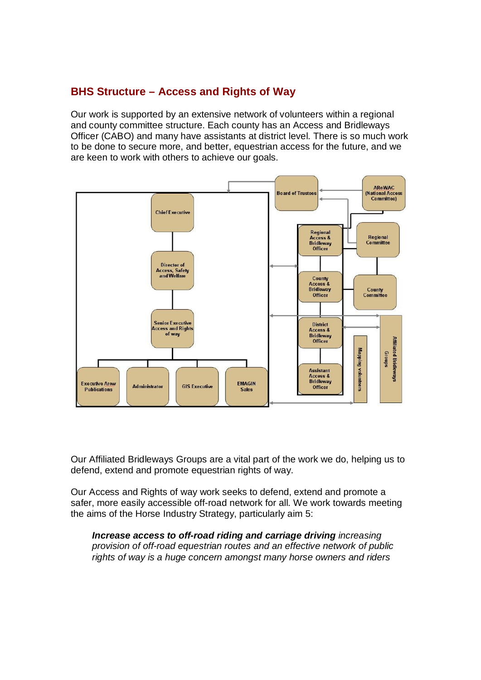# **BHS Structure – Access and Rights of Way**

Our work is supported by an extensive network of volunteers within a regional and county committee structure. Each county has an Access and Bridleways Officer (CABO) and many have assistants at district level. There is so much work to be done to secure more, and better, equestrian access for the future, and we are keen to work with others to achieve our goals.



Our Affiliated Bridleways Groups are a vital part of the work we do, helping us to defend, extend and promote equestrian rights of way.

Our Access and Rights of way work seeks to defend, extend and promote a safer, more easily accessible off-road network for all. We work towards meeting the aims of the Horse Industry Strategy, particularly aim 5:

*Increase access to off-road riding and carriage driving increasing provision of off-road equestrian routes and an effective network of public rights of way is a huge concern amongst many horse owners and riders*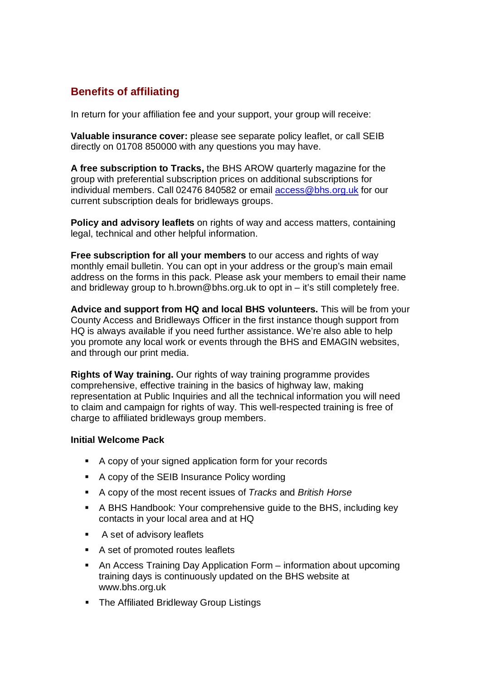# **Benefits of affiliating**

In return for your affiliation fee and your support, your group will receive:

**Valuable insurance cover:** please see separate policy leaflet, or call SEIB directly on 01708 850000 with any questions you may have.

**A free subscription to Tracks,** the BHS AROW quarterly magazine for the group with preferential subscription prices on additional subscriptions for individual members. Call 02476 840582 or email [access@bhs.org.uk](mailto:access@bhs.org.uk) for our current subscription deals for bridleways groups.

**Policy and advisory leaflets** on rights of way and access matters, containing legal, technical and other helpful information.

**Free subscription for all your members** to our access and rights of way monthly email bulletin. You can opt in your address or the group's main email address on the forms in this pack. Please ask your members to email their name and bridleway group to [h.brown@bhs.org.uk](mailto:h.brown@bhs.org.uk) to opt in – it's still completely free.

**Advice and support from HQ and local BHS volunteers.** This will be from your County Access and Bridleways Officer in the first instance though support from HQ is always available if you need further assistance. We're also able to help you promote any local work or events through the BHS and EMAGIN websites, and through our print media.

**Rights of Way training.** Our rights of way training programme provides comprehensive, effective training in the basics of highway law, making representation at Public Inquiries and all the technical information you will need to claim and campaign for rights of way. This well-respected training is free of charge to affiliated bridleways group members.

#### **Initial Welcome Pack**

- A copy of your signed application form for your records
- A copy of the SEIB Insurance Policy wording
- A copy of the most recent issues of *Tracks* and *British Horse*
- A BHS Handbook: Your comprehensive guide to the BHS, including key contacts in your local area and at HQ
- **A set of advisory leaflets**
- A set of promoted routes leaflets
- An Access Training Day Application Form information about upcoming training days is continuously updated on the BHS website at [www.bhs.org.uk](http://www.bhs.org.uk)
- **F** The Affiliated Bridleway Group Listings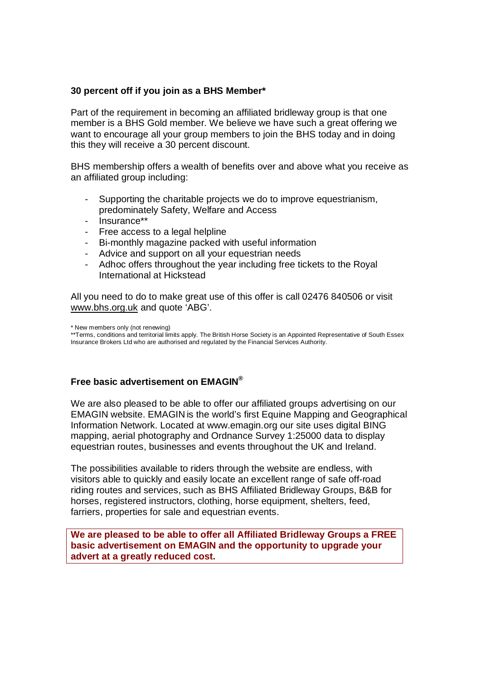#### **30 percent off if you join as a BHS Member\***

Part of the requirement in becoming an affiliated bridleway group is that one member is a BHS Gold member. We believe we have such a great offering we want to encourage all your group members to join the BHS today and in doing this they will receive a 30 percent discount.

BHS membership offers a wealth of benefits over and above what you receive as an affiliated group including:

- Supporting the charitable projects we do to improve equestrianism, predominately Safety, Welfare and Access
- Insurance\*\*
- Free access to a legal helpline
- Bi-monthly magazine packed with useful information
- Advice and support on all your equestrian needs
- Adhoc offers throughout the year including free tickets to the Royal International at Hickstead

All you need to do to make great use of this offer is call 02476 840506 or visit [www.bhs.org.uk](http://www.bhs.org.uk) and quote 'ABG'.

#### **Free basic advertisement on EMAGIN®**

We are also pleased to be able to offer our affiliated groups advertising on our EMAGIN website. EMAGIN is the world's first Equine Mapping and Geographical Information Network. Located at [www.emagin.org](http://www.emagin.org) our site uses digital BING mapping, aerial photography and Ordnance Survey 1:25000 data to display equestrian routes, businesses and events throughout the UK and Ireland.

The possibilities available to riders through the website are endless, with visitors able to quickly and easily locate an excellent range of safe off-road riding routes and services, such as BHS Affiliated Bridleway Groups, B&B for horses, registered instructors, clothing, horse equipment, shelters, feed, farriers, properties for sale and equestrian events.

**We are pleased to be able to offer all Affiliated Bridleway Groups a FREE basic advertisement on EMAGIN and the opportunity to upgrade your advert at a greatly reduced cost.**

<sup>\*</sup> New members only (not renewing)

<sup>\*\*</sup>Terms, conditions and territorial limits apply. The British Horse Society is an Appointed Representative of South Essex Insurance Brokers Ltd who are authorised and regulated by the Financial Services Authority.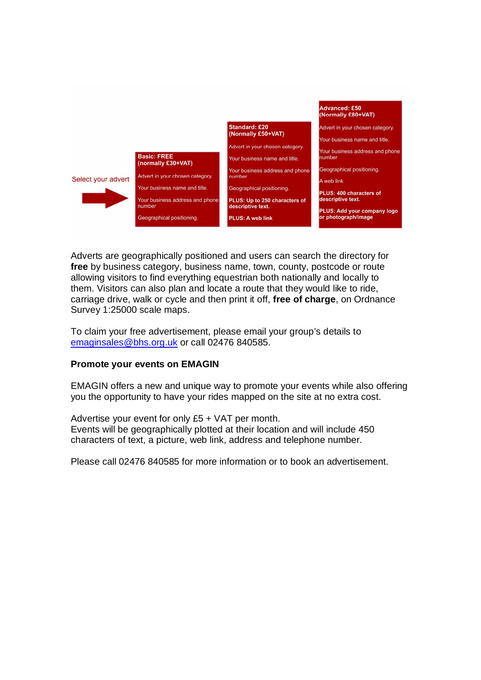

Adverts are geographically positioned and users can search the directory for **free** by business category, business name, town, county, postcode or route allowing visitors to find everything equestrian both nationally and locally to them. Visitors can also plan and locate a route that they would like to ride, carriage drive, walk or cycle and then print it off, **free of charge**, on Ordnance Survey 1:25000 scale maps.

To claim your free advertisement, please email your group's details to [emaginsales@bhs.org.uk](mailto:emaginsales@bhs.org.uk) or call 02476 840585.

#### **Promote your events on EMAGIN**

EMAGIN offers a new and unique way to promote your events while also offering you the opportunity to have your rides mapped on the site at no extra cost.

Advertise your event for only £5 + VAT per month. Events will be geographically plotted at their location and will include 450 characters of text, a picture, web link, address and telephone number.

Please call 02476 840585 for more information or to book an advertisement.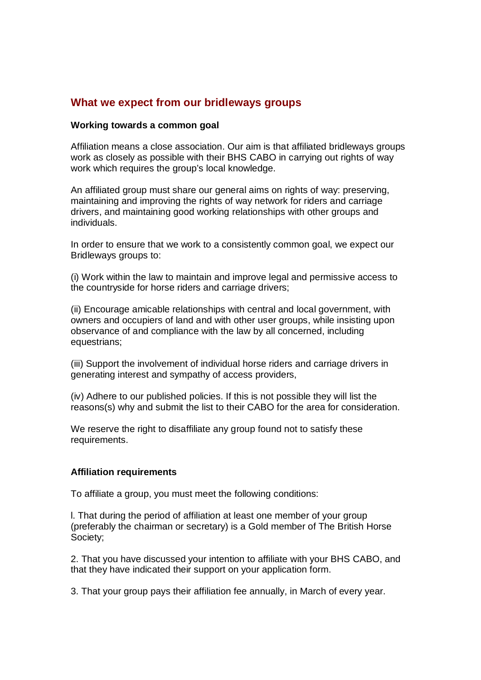### **What we expect from our bridleways groups**

#### **Working towards a common goal**

Affiliation means a close association. Our aim is that affiliated bridleways groups work as closely as possible with their BHS CABO in carrying out rights of way work which requires the group's local knowledge.

An affiliated group must share our general aims on rights of way: preserving, maintaining and improving the rights of way network for riders and carriage drivers, and maintaining good working relationships with other groups and individuals.

In order to ensure that we work to a consistently common goal, we expect our Bridleways groups to:

(i) Work within the law to maintain and improve legal and permissive access to the countryside for horse riders and carriage drivers;

(ii) Encourage amicable relationships with central and local government, with owners and occupiers of land and with other user groups, while insisting upon observance of and compliance with the law by all concerned, including equestrians;

(iii) Support the involvement of individual horse riders and carriage drivers in generating interest and sympathy of access providers,

(iv) Adhere to our published policies. If this is not possible they will list the reasons(s) why and submit the list to their CABO for the area for consideration.

We reserve the right to disaffiliate any group found not to satisfy these requirements.

#### **Affiliation requirements**

To affiliate a group, you must meet the following conditions:

l. That during the period of affiliation at least one member of your group (preferably the chairman or secretary) is a Gold member of The British Horse Society;

2. That you have discussed your intention to affiliate with your BHS CABO, and that they have indicated their support on your application form.

3. That your group pays their affiliation fee annually, in March of every year.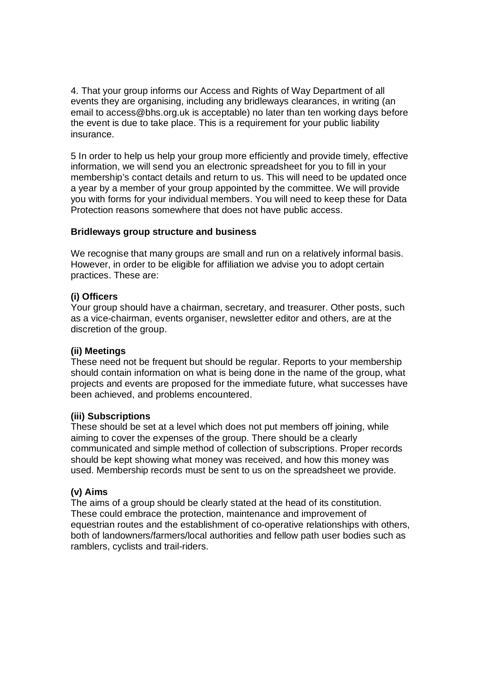4. That your group informs our Access and Rights of Way Department of all events they are organising, including any bridleways clearances, in writing (an email to [access@bhs.org.uk](mailto:access@bhs.org.uk) is acceptable) no later than ten working days before the event is due to take place. This is a requirement for your public liability insurance.

5 In order to help us help your group more efficiently and provide timely, effective information, we will send you an electronic spreadsheet for you to fill in your membership's contact details and return to us. This will need to be updated once a year by a member of your group appointed by the committee. We will provide you with forms for your individual members. You will need to keep these for Data Protection reasons somewhere that does not have public access.

#### **Bridleways group structure and business**

We recognise that many groups are small and run on a relatively informal basis. However, in order to be eligible for affiliation we advise you to adopt certain practices. These are:

#### **(i) Officers**

Your group should have a chairman, secretary, and treasurer. Other posts, such as a vice-chairman, events organiser, newsletter editor and others, are at the discretion of the group.

#### **(ii) Meetings**

These need not be frequent but should be regular. Reports to your membership should contain information on what is being done in the name of the group, what projects and events are proposed for the immediate future, what successes have been achieved, and problems encountered.

#### **(iii) Subscriptions**

These should be set at a level which does not put members off joining, while aiming to cover the expenses of the group. There should be a clearly communicated and simple method of collection of subscriptions. Proper records should be kept showing what money was received, and how this money was used. Membership records must be sent to us on the spreadsheet we provide.

#### **(v) Aims**

The aims of a group should be clearly stated at the head of its constitution. These could embrace the protection, maintenance and improvement of equestrian routes and the establishment of co-operative relationships with others, both of landowners/farmers/local authorities and fellow path user bodies such as ramblers, cyclists and trail-riders.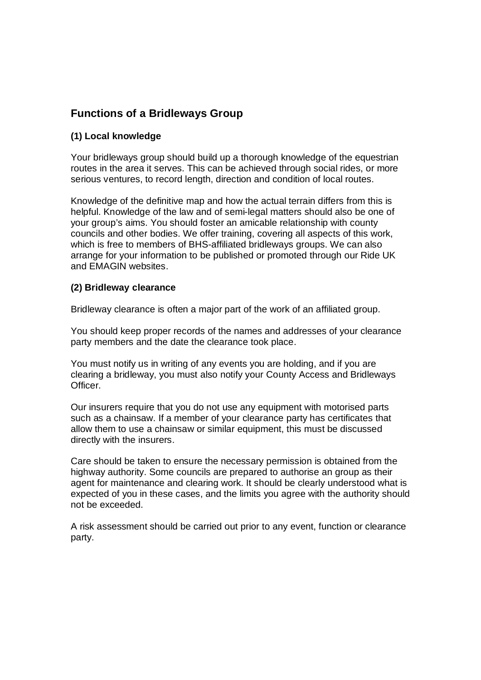# **Functions of a Bridleways Group**

#### **(1) Local knowledge**

Your bridleways group should build up a thorough knowledge of the equestrian routes in the area it serves. This can be achieved through social rides, or more serious ventures, to record length, direction and condition of local routes.

Knowledge of the definitive map and how the actual terrain differs from this is helpful. Knowledge of the law and of semi-legal matters should also be one of your group's aims. You should foster an amicable relationship with county councils and other bodies. We offer training, covering all aspects of this work, which is free to members of BHS-affiliated bridleways groups. We can also arrange for your information to be published or promoted through our Ride UK and EMAGIN websites.

#### **(2) Bridleway clearance**

Bridleway clearance is often a major part of the work of an affiliated group.

You should keep proper records of the names and addresses of your clearance party members and the date the clearance took place.

You must notify us in writing of any events you are holding, and if you are clearing a bridleway, you must also notify your County Access and Bridleways Officer.

Our insurers require that you do not use any equipment with motorised parts such as a chainsaw. If a member of your clearance party has certificates that allow them to use a chainsaw or similar equipment, this must be discussed directly with the insurers.

Care should be taken to ensure the necessary permission is obtained from the highway authority. Some councils are prepared to authorise an group as their agent for maintenance and clearing work. It should be clearly understood what is expected of you in these cases, and the limits you agree with the authority should not be exceeded.

A risk assessment should be carried out prior to any event, function or clearance party.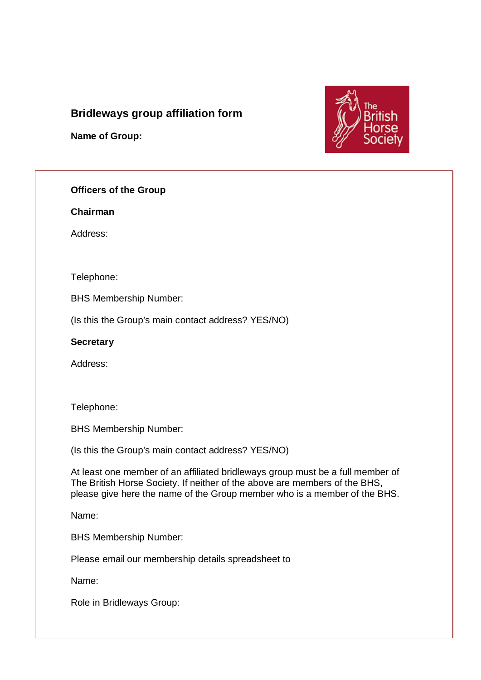# **Bridleways group affiliation form**

**Name of Group:**



#### **Officers of the Group**

**Chairman**

Address:

Telephone:

BHS Membership Number:

(Is this the Group's main contact address? YES/NO)

**Secretary**

Address:

Telephone:

BHS Membership Number:

(Is this the Group's main contact address? YES/NO)

At least one member of an affiliated bridleways group must be a full member of The British Horse Society. If neither of the above are members of the BHS, please give here the name of the Group member who is a member of the BHS.

Name:

BHS Membership Number:

Please email our membership details spreadsheet to

Name:

Role in Bridleways Group: